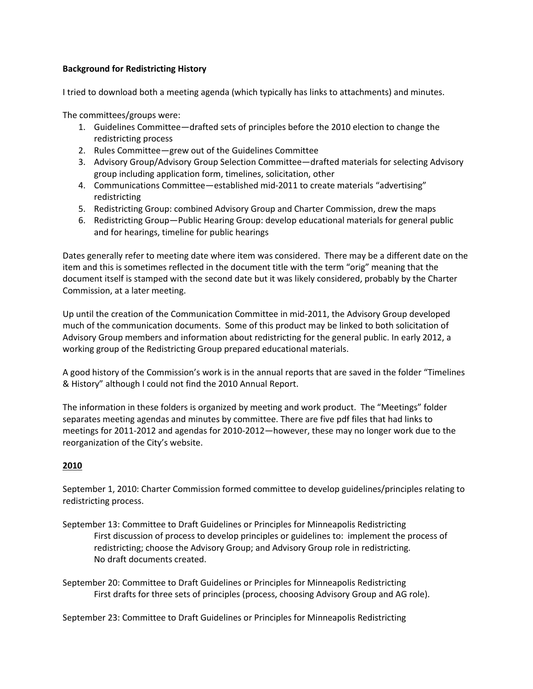# **Background for Redistricting History**

I tried to download both a meeting agenda (which typically has links to attachments) and minutes.

The committees/groups were:

- 1. Guidelines Committee—drafted sets of principles before the 2010 election to change the redistricting process
- 2. Rules Committee—grew out of the Guidelines Committee
- 3. Advisory Group/Advisory Group Selection Committee—drafted materials for selecting Advisory group including application form, timelines, solicitation, other
- 4. Communications Committee—established mid-2011 to create materials "advertising" redistricting
- 5. Redistricting Group: combined Advisory Group and Charter Commission, drew the maps
- 6. Redistricting Group—Public Hearing Group: develop educational materials for general public and for hearings, timeline for public hearings

Dates generally refer to meeting date where item was considered. There may be a different date on the item and this is sometimes reflected in the document title with the term "orig" meaning that the document itself is stamped with the second date but it was likely considered, probably by the Charter Commission, at a later meeting.

Up until the creation of the Communication Committee in mid-2011, the Advisory Group developed much of the communication documents. Some of this product may be linked to both solicitation of Advisory Group members and information about redistricting for the general public. In early 2012, a working group of the Redistricting Group prepared educational materials.

A good history of the Commission's work is in the annual reports that are saved in the folder "Timelines & History" although I could not find the 2010 Annual Report.

The information in these folders is organized by meeting and work product. The "Meetings" folder separates meeting agendas and minutes by committee. There are five pdf files that had links to meetings for 2011-2012 and agendas for 2010-2012—however, these may no longer work due to the reorganization of the City's website.

# **2010**

September 1, 2010: Charter Commission formed committee to develop guidelines/principles relating to redistricting process.

September 13: Committee to Draft Guidelines or Principles for Minneapolis Redistricting First discussion of process to develop principles or guidelines to: implement the process of redistricting; choose the Advisory Group; and Advisory Group role in redistricting. No draft documents created.

September 20: Committee to Draft Guidelines or Principles for Minneapolis Redistricting First drafts for three sets of principles (process, choosing Advisory Group and AG role).

September 23: Committee to Draft Guidelines or Principles for Minneapolis Redistricting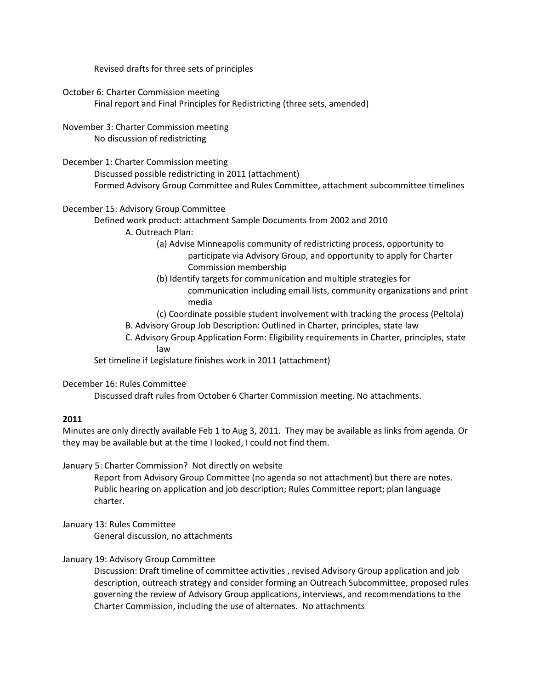Revised drafts for three sets of principles

October 6: Charter Commission meeting Final report and Final Principles for Redistricting (three sets, amended)

November 3: Charter Commission meeting No discussion of redistricting

December 1: Charter Commission meeting Discussed possible redistricting in 2011 (attachment) Formed Advisory Group Committee and Rules Committee, attachment subcommittee timelines

# December 15: Advisory Group Committee

Defined work product: attachment Sample Documents from 2002 and 2010

A. Outreach Plan:

(a) Advise Minneapolis community of redistricting process, opportunity to participate via Advisory Group, and opportunity to apply for Charter Commission membership

(b) Identify targets for communication and multiple strategies for communication including email lists, community organizations and print media

(c) Coordinate possible student involvement with tracking the process (Peltola)

- B. Advisory Group Job Description: Outlined in Charter, principles, state law
- C. Advisory Group Application Form: Eligibility requirements in Charter, principles, state law

Set timeline if Legislature finishes work in 2011 (attachment)

December 16: Rules Committee

Discussed draft rules from October 6 Charter Commission meeting. No attachments.

# **2011**

Minutes are only directly available Feb 1 to Aug 3, 2011. They may be available as links from agenda. Or they may be available but at the time I looked, I could not find them.

January 5: Charter Commission? Not directly on website

Report from Advisory Group Committee (no agenda so not attachment) but there are notes. Public hearing on application and job description; Rules Committee report; plan language charter.

January 13: Rules Committee

General discussion, no attachments

### January 19: Advisory Group Committee

Discussion: Draft timeline of committee activities , revised Advisory Group application and job description, outreach strategy and consider forming an Outreach Subcommittee, proposed rules governing the review of Advisory Group applications, interviews, and recommendations to the Charter Commission, including the use of alternates. No attachments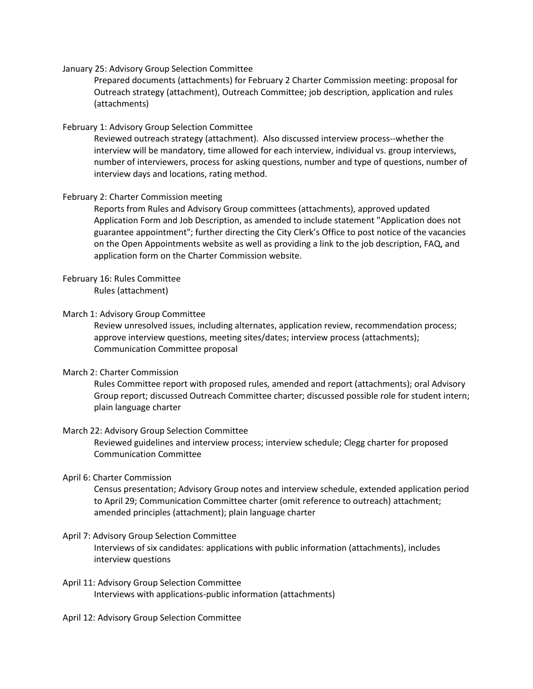January 25: Advisory Group Selection Committee

Prepared documents (attachments) for February 2 Charter Commission meeting: proposal for Outreach strategy (attachment), Outreach Committee; job description, application and rules (attachments)

## February 1: Advisory Group Selection Committee

Reviewed outreach strategy (attachment). Also discussed interview process--whether the interview will be mandatory, time allowed for each interview, individual vs. group interviews, number of interviewers, process for asking questions, number and type of questions, number of interview days and locations, rating method.

# February 2: Charter Commission meeting

Reports from Rules and Advisory Group committees (attachments), approved updated Application Form and Job Description, as amended to include statement "Application does not guarantee appointment"; further directing the City Clerk's Office to post notice of the vacancies on the Open Appointments website as well as providing a link to the job description, FAQ, and application form on the Charter Commission website.

# February 16: Rules Committee

Rules (attachment)

# March 1: Advisory Group Committee

Review unresolved issues, including alternates, application review, recommendation process; approve interview questions, meeting sites/dates; interview process (attachments); Communication Committee proposal

# March 2: Charter Commission

Rules Committee report with proposed rules, amended and report (attachments); oral Advisory Group report; discussed Outreach Committee charter; discussed possible role for student intern; plain language charter

# March 22: Advisory Group Selection Committee

Reviewed guidelines and interview process; interview schedule; Clegg charter for proposed Communication Committee

# April 6: Charter Commission

Census presentation; Advisory Group notes and interview schedule, extended application period to April 29; Communication Committee charter (omit reference to outreach) attachment; amended principles (attachment); plain language charter

# April 7: Advisory Group Selection Committee

Interviews of six candidates: applications with public information (attachments), includes interview questions

# April 11: Advisory Group Selection Committee Interviews with applications-public information (attachments)

April 12: Advisory Group Selection Committee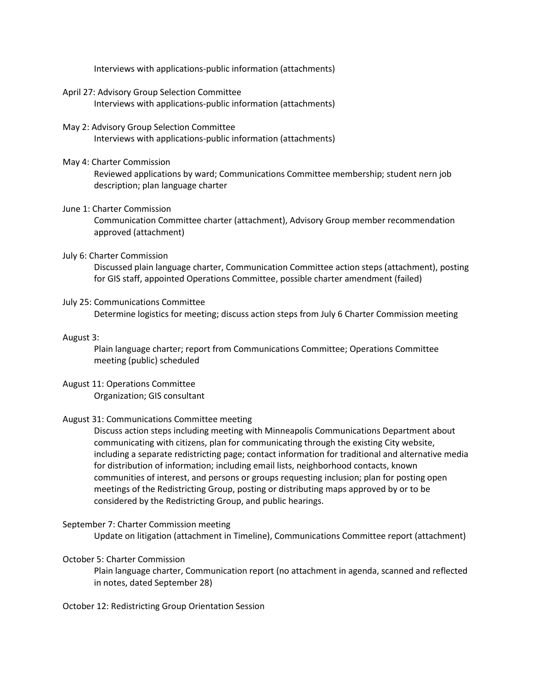Interviews with applications-public information (attachments)

- April 27: Advisory Group Selection Committee Interviews with applications-public information (attachments)
- May 2: Advisory Group Selection Committee Interviews with applications-public information (attachments)

### May 4: Charter Commission

Reviewed applications by ward; Communications Committee membership; student nern job description; plan language charter

### June 1: Charter Commission

Communication Committee charter (attachment), Advisory Group member recommendation approved (attachment)

### July 6: Charter Commission

Discussed plain language charter, Communication Committee action steps (attachment), posting for GIS staff, appointed Operations Committee, possible charter amendment (failed)

#### July 25: Communications Committee

Determine logistics for meeting; discuss action steps from July 6 Charter Commission meeting

#### August 3:

Plain language charter; report from Communications Committee; Operations Committee meeting (public) scheduled

# August 11: Operations Committee Organization; GIS consultant

### August 31: Communications Committee meeting

Discuss action steps including meeting with Minneapolis Communications Department about communicating with citizens, plan for communicating through the existing City website, including a separate redistricting page; contact information for traditional and alternative media for distribution of information; including email lists, neighborhood contacts, known communities of interest, and persons or groups requesting inclusion; plan for posting open meetings of the Redistricting Group, posting or distributing maps approved by or to be considered by the Redistricting Group, and public hearings.

### September 7: Charter Commission meeting

Update on litigation (attachment in Timeline), Communications Committee report (attachment)

# October 5: Charter Commission

Plain language charter, Communication report (no attachment in agenda, scanned and reflected in notes, dated September 28)

#### October 12: Redistricting Group Orientation Session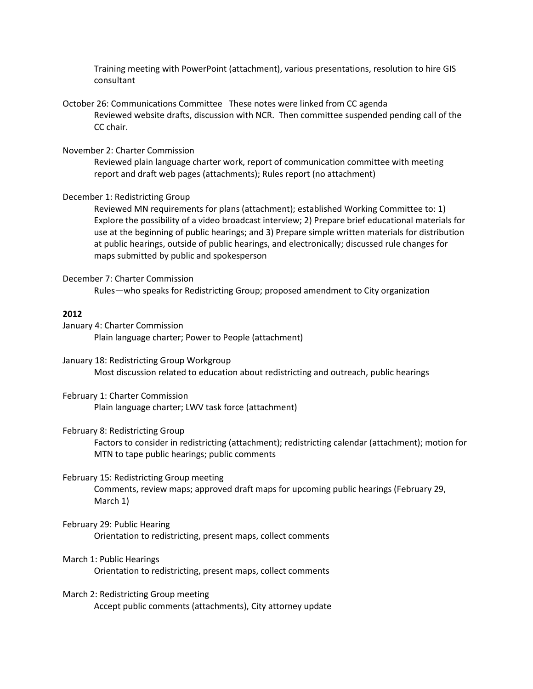Training meeting with PowerPoint (attachment), various presentations, resolution to hire GIS consultant

October 26: Communications Committee These notes were linked from CC agenda Reviewed website drafts, discussion with NCR. Then committee suspended pending call of the CC chair.

## November 2: Charter Commission

Reviewed plain language charter work, report of communication committee with meeting report and draft web pages (attachments); Rules report (no attachment)

## December 1: Redistricting Group

Reviewed MN requirements for plans (attachment); established Working Committee to: 1) Explore the possibility of a video broadcast interview; 2) Prepare brief educational materials for use at the beginning of public hearings; and 3) Prepare simple written materials for distribution at public hearings, outside of public hearings, and electronically; discussed rule changes for maps submitted by public and spokesperson

#### December 7: Charter Commission

Rules—who speaks for Redistricting Group; proposed amendment to City organization

#### **2012**

January 4: Charter Commission Plain language charter; Power to People (attachment)

January 18: Redistricting Group Workgroup Most discussion related to education about redistricting and outreach, public hearings

# February 1: Charter Commission Plain language charter; LWV task force (attachment)

#### February 8: Redistricting Group

Factors to consider in redistricting (attachment); redistricting calendar (attachment); motion for MTN to tape public hearings; public comments

#### February 15: Redistricting Group meeting

Comments, review maps; approved draft maps for upcoming public hearings (February 29, March 1)

#### February 29: Public Hearing

Orientation to redistricting, present maps, collect comments

## March 1: Public Hearings

Orientation to redistricting, present maps, collect comments

#### March 2: Redistricting Group meeting

Accept public comments (attachments), City attorney update